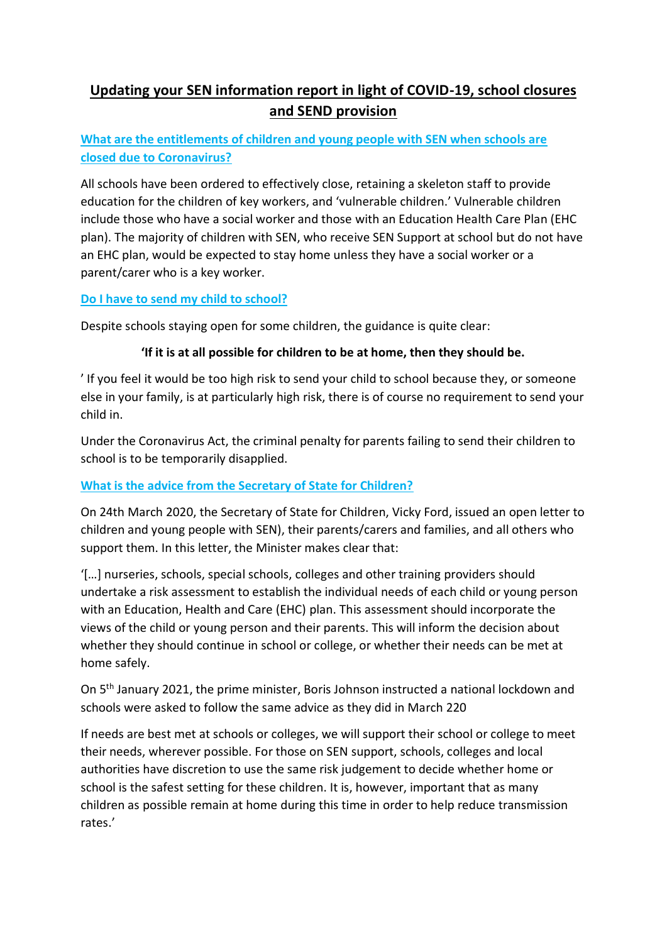# **Updating your SEN information report in light of COVID-19, school closures and SEND provision**

## **What are the entitlements of children and young people with SEN when schools are closed due to Coronavirus?**

All schools have been ordered to effectively close, retaining a skeleton staff to provide education for the children of key workers, and 'vulnerable children.' Vulnerable children include those who have a social worker and those with an Education Health Care Plan (EHC plan). The majority of children with SEN, who receive SEN Support at school but do not have an EHC plan, would be expected to stay home unless they have a social worker or a parent/carer who is a key worker.

### **Do I have to send my child to school?**

Despite schools staying open for some children, the guidance is quite clear:

## **'If it is at all possible for children to be at home, then they should be.**

' If you feel it would be too high risk to send your child to school because they, or someone else in your family, is at particularly high risk, there is of course no requirement to send your child in.

Under the Coronavirus Act, the criminal penalty for parents failing to send their children to school is to be temporarily disapplied.

## **What is the advice from the Secretary of State for Children?**

On 24th March 2020, the Secretary of State for Children, Vicky Ford, issued an open letter to children and young people with SEN), their parents/carers and families, and all others who support them. In this letter, the Minister makes clear that:

'[…] nurseries, schools, special schools, colleges and other training providers should undertake a risk assessment to establish the individual needs of each child or young person with an Education, Health and Care (EHC) plan. This assessment should incorporate the views of the child or young person and their parents. This will inform the decision about whether they should continue in school or college, or whether their needs can be met at home safely.

On 5th January 2021, the prime minister, Boris Johnson instructed a national lockdown and schools were asked to follow the same advice as they did in March 220

If needs are best met at schools or colleges, we will support their school or college to meet their needs, wherever possible. For those on SEN support, schools, colleges and local authorities have discretion to use the same risk judgement to decide whether home or school is the safest setting for these children. It is, however, important that as many children as possible remain at home during this time in order to help reduce transmission rates.'